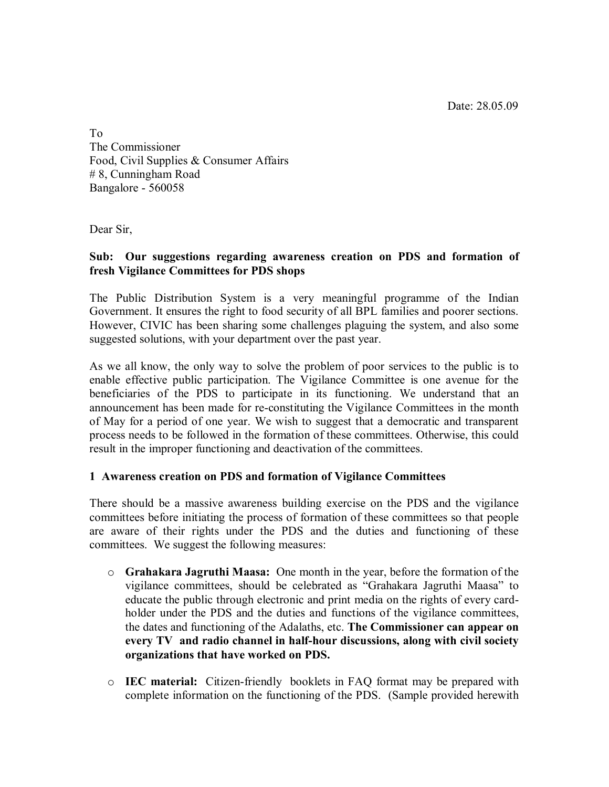Date: 28.05.09

To The Commissioner Food, Civil Supplies & Consumer Affairs # 8, Cunningham Road Bangalore - 560058

Dear Sir,

## **Sub: Our suggestions regarding awareness creation on PDS and formation of fresh Vigilance Committees for PDS shops**

The Public Distribution System is a very meaningful programme of the Indian Government. It ensures the right to food security of all BPL families and poorer sections. However, CIVIC has been sharing some challenges plaguing the system, and also some suggested solutions, with your department over the past year.

As we all know, the only way to solve the problem of poor services to the public is to enable effective public participation. The Vigilance Committee is one avenue for the beneficiaries of the PDS to participate in its functioning. We understand that an announcement has been made for re-constituting the Vigilance Committees in the month of May for a period of one year. We wish to suggest that a democratic and transparent process needs to be followed in the formation of these committees. Otherwise, this could result in the improper functioning and deactivation of the committees.

## **1 Awareness creation on PDS and formation of Vigilance Committees**

There should be a massive awareness building exercise on the PDS and the vigilance committees before initiating the process of formation of these committees so that people are aware of their rights under the PDS and the duties and functioning of these committees. We suggest the following measures:

- o **Grahakara Jagruthi Maasa:** One month in the year, before the formation of the vigilance committees, should be celebrated as "Grahakara Jagruthi Maasa" to educate the public through electronic and print media on the rights of every cardholder under the PDS and the duties and functions of the vigilance committees, the dates and functioning of the Adalaths, etc. **The Commissioner can appear on every TV and radio channel in half-hour discussions, along with civil society organizations that have worked on PDS.**
- o **IEC material:** Citizen-friendly booklets in FAQ format may be prepared with complete information on the functioning of the PDS. (Sample provided herewith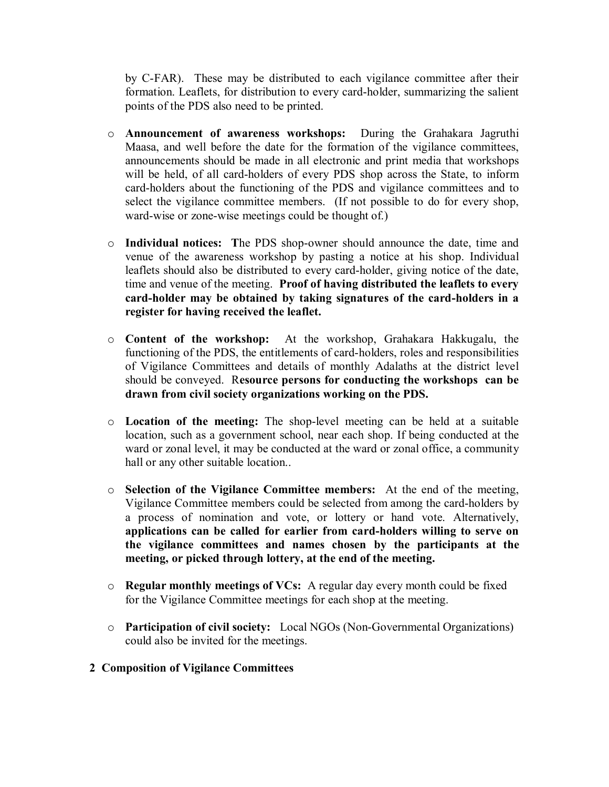by C-FAR). These may be distributed to each vigilance committee after their formation. Leaflets, for distribution to every card-holder, summarizing the salient points of the PDS also need to be printed.

- o **Announcement of awareness workshops:** During the Grahakara Jagruthi Maasa, and well before the date for the formation of the vigilance committees, announcements should be made in all electronic and print media that workshops will be held, of all card-holders of every PDS shop across the State, to inform card-holders about the functioning of the PDS and vigilance committees and to select the vigilance committee members. (If not possible to do for every shop, ward-wise or zone-wise meetings could be thought of.)
- o **Individual notices: T**he PDS shop-owner should announce the date, time and venue of the awareness workshop by pasting a notice at his shop. Individual leaflets should also be distributed to every card-holder, giving notice of the date, time and venue of the meeting. **Proof of having distributed the leaflets to every card-holder may be obtained by taking signatures of the card-holders in a register for having received the leaflet.**
- o **Content of the workshop:** At the workshop, Grahakara Hakkugalu, the functioning of the PDS, the entitlements of card-holders, roles and responsibilities of Vigilance Committees and details of monthly Adalaths at the district level should be conveyed. R**esource persons for conducting the workshops can be drawn from civil society organizations working on the PDS.**
- o **Location of the meeting:** The shop-level meeting can be held at a suitable location, such as a government school, near each shop. If being conducted at the ward or zonal level, it may be conducted at the ward or zonal office, a community hall or any other suitable location..
- o **Selection of the Vigilance Committee members:** At the end of the meeting, Vigilance Committee members could be selected from among the card-holders by a process of nomination and vote, or lottery or hand vote. Alternatively, **applications can be called for earlier from card-holders willing to serve on the vigilance committees and names chosen by the participants at the meeting, or picked through lottery, at the end of the meeting.**
- o **Regular monthly meetings of VCs:** A regular day every month could be fixed for the Vigilance Committee meetings for each shop at the meeting.
- o **Participation of civil society:** Local NGOs (Non-Governmental Organizations) could also be invited for the meetings.
- **2 Composition of Vigilance Committees**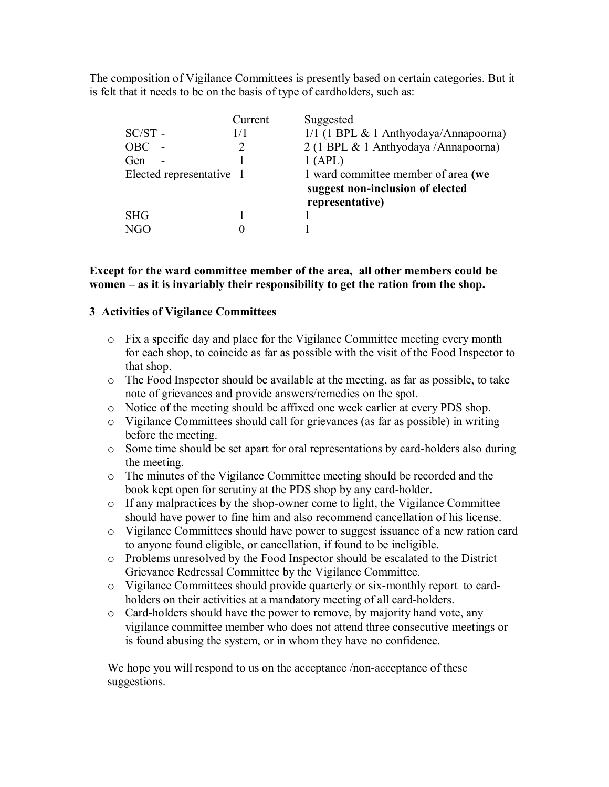The composition of Vigilance Committees is presently based on certain categories. But it is felt that it needs to be on the basis of type of cardholders, such as:

| $SC/ST$ -<br><b>OBC</b><br>Gen<br>$\overline{\phantom{0}}$<br>Elected representative 1 | Current<br>1/1 | Suggested<br>$1/1$ (1 BPL & 1 Anthyodaya/Annapoorna)<br>2 (1 BPL & 1 Anthyodaya / Annapoorna)<br>1(APL)<br>1 ward committee member of area (we<br>suggest non-inclusion of elected |
|----------------------------------------------------------------------------------------|----------------|------------------------------------------------------------------------------------------------------------------------------------------------------------------------------------|
|                                                                                        |                | representative)                                                                                                                                                                    |
| <b>SHG</b>                                                                             |                |                                                                                                                                                                                    |
|                                                                                        |                |                                                                                                                                                                                    |

## **Except for the ward committee member of the area, all other members could be women – as it is invariably their responsibility to get the ration from the shop.**

## **3 Activities of Vigilance Committees**

- o Fix a specific day and place for the Vigilance Committee meeting every month for each shop, to coincide as far as possible with the visit of the Food Inspector to that shop.
- o The Food Inspector should be available at the meeting, as far as possible, to take note of grievances and provide answers/remedies on the spot.
- o Notice of the meeting should be affixed one week earlier at every PDS shop.
- o Vigilance Committees should call for grievances (as far as possible) in writing before the meeting.
- o Some time should be set apart for oral representations by card-holders also during the meeting.
- o The minutes of the Vigilance Committee meeting should be recorded and the book kept open for scrutiny at the PDS shop by any card-holder.
- o If any malpractices by the shop-owner come to light, the Vigilance Committee should have power to fine him and also recommend cancellation of his license.
- o Vigilance Committees should have power to suggest issuance of a new ration card to anyone found eligible, or cancellation, if found to be ineligible.
- o Problems unresolved by the Food Inspector should be escalated to the District Grievance Redressal Committee by the Vigilance Committee.
- o Vigilance Committees should provide quarterly or six-monthly report to cardholders on their activities at a mandatory meeting of all card-holders.
- o Card-holders should have the power to remove, by majority hand vote, any vigilance committee member who does not attend three consecutive meetings or is found abusing the system, or in whom they have no confidence.

We hope you will respond to us on the acceptance /non-acceptance of these suggestions.